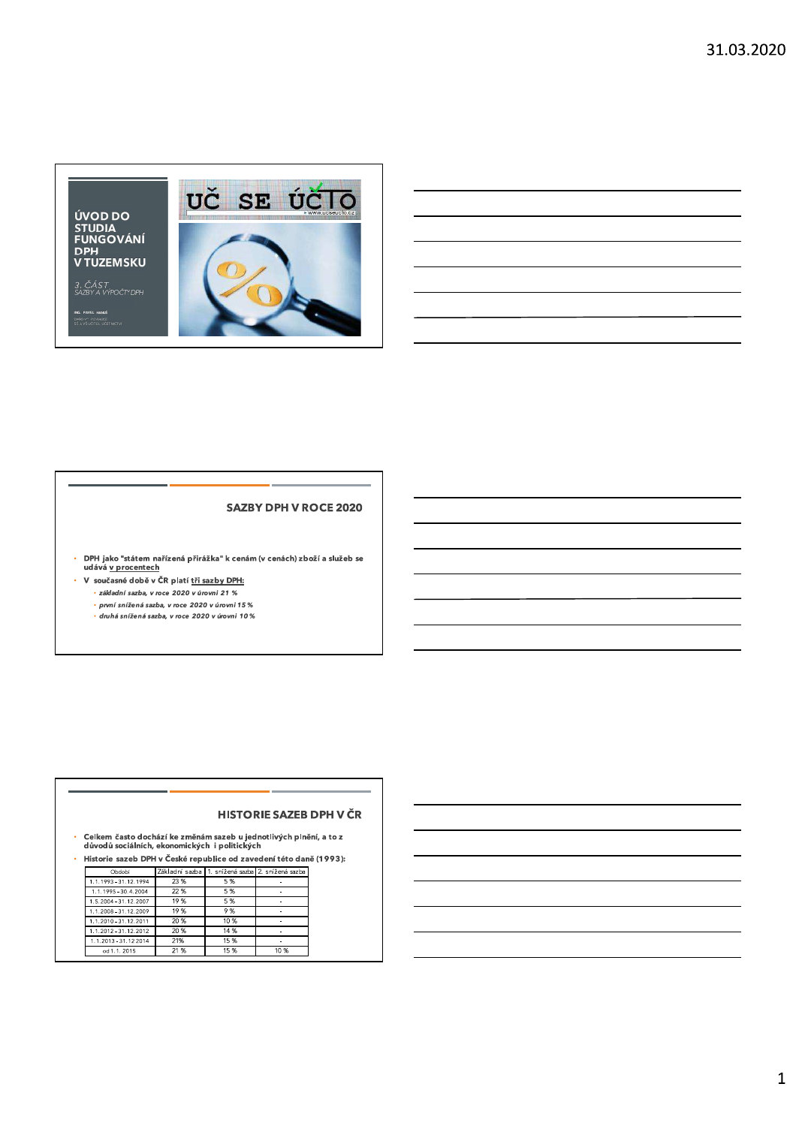

#### **SAZBY DPH V ROCE 2020**

• DPH jako "státem nařízená přirážka" k cenám (v cenách) zboží a služeb se<br>udává <u>v procentech</u>

- V současné době v ČR platí tři sazby DPH: t. · základní sazba, v roce 2020 v úrovni 21 % · první snížená sazba, v roce 2020 v úrovni 15 %
	- .<br>• druhá snížená sazba, v roce 2020 v úrovni 10 %

#### **HISTORIE SAZEB DPH V ČR**

Celkem často dochází ke změnám sazeb u jednotlivých plnění, a to z<br>důvodů sociálních, ekonomických i politických

Historie sazeb DPH v České republice od zavedení této daně (1993):  $\mathbf{r}$ Základní sazba 1. snížená sazba 2. snížená sazba

| у ласатат             | rakiadill sazba |      | i. Shizena sazua iz. Shizena sazua |
|-----------------------|-----------------|------|------------------------------------|
| 1.1.1993 - 31.12.1994 | 23 %            | 5%   |                                    |
| 1.1.1995 - 30.4.2004  | 22 %            | 5%   |                                    |
| 1.5.2004 - 31.12.2007 | 19%             | 5%   |                                    |
| 1.1.2008 - 31.12.2009 | 19%             | 9%   |                                    |
| 1.1.2010 - 31.12.2011 | 20 %            | 10 % |                                    |
| 1.1.2012 - 31.12.2012 | 20 %            | 14 % |                                    |
| 1.1.2013 - 31.12 2014 | 21%             | 15%  |                                    |
| od 1.1.2015           | 21 %            | 15 % | 10%                                |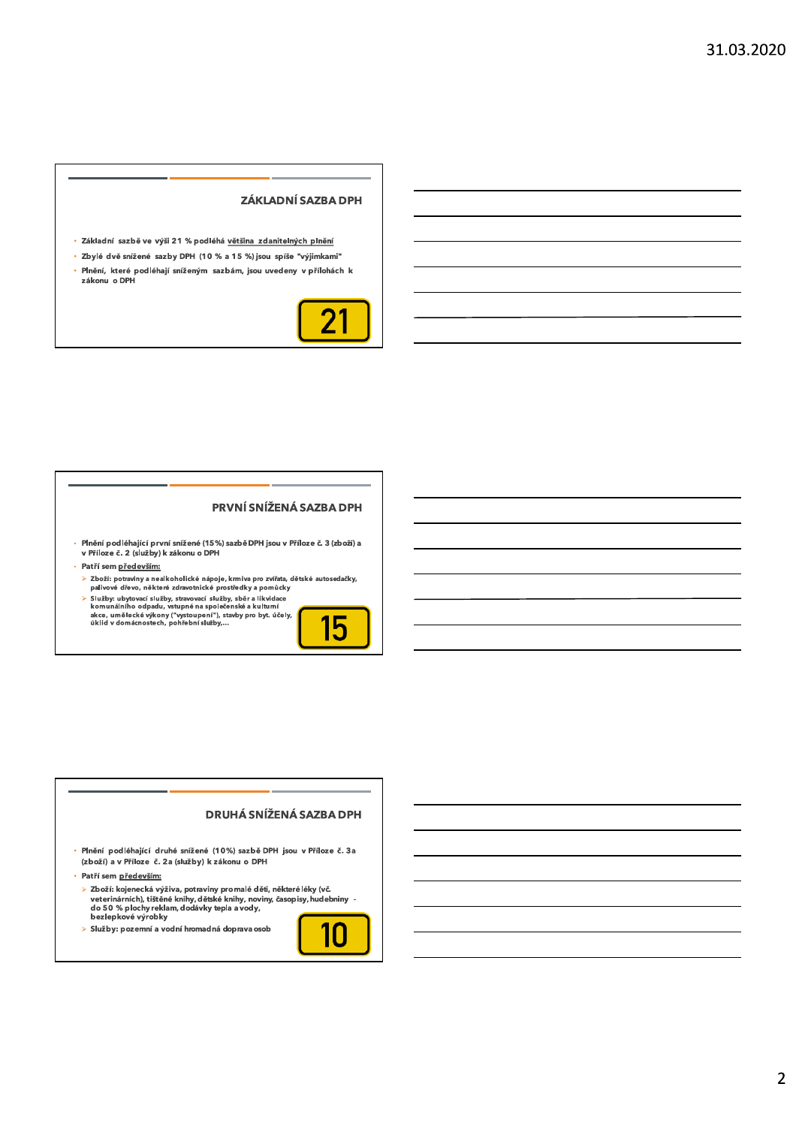#### ZÁKLADNÍ SAZBA DPH

- · Základní sazbě ve výši 21 % podléhá většina zdanitelných plnění
- · Zbylé dvě snížené sazby DPH (10 % a 15 %) jsou spíše "výjimkami"
- · Plnění, které podléhají sníženým sazbám, jsou uvedeny v přílohách k zákonu o DPH



#### PRVNÍ SNÍŽENÁ SAZBA DPH

- Plnění podléhající první snížené (15%) sazbě DPH jsou v Příloze č. 3 (zboží) a<br>v Příloze č. 2 (služby) k zákonu o DPH
- · Patří sem především:
- ≽ Zboží: potraviny a nealkoholické nápoje, krmiva pro zvířata, dětské autosedačky, palivové dřevo, některé zdravotnické prostředky a pomůcky
- 

panove areo, nekelen zahodnosti politiky stanované politiky stanované služby, stanované služby, stanované služby, stanované služby, stanované služby, stanované služby, stanované komunalního odpadu, vstupné na společenské a



#### DRUHÁ SNÍŽENÁ SAZBA DPH

· Plnění podléhající druhé snížené (10%) sazbě DPH jsou v Příloze č. 3a (zboží) a v Příloze č. 2a (služby) k zákonu o DPH

· Patří sem především:

> Zboží: kojenecká výživa, potraviny promalé děti, některé léky (vč.<br>veterinárních), tištěné knihy, dětské knihy, noviny, časopisy, hudebniny -<br>do 50 % plochy reklam, dodávky tepla a vody,<br>bezlepkové výrobky

> Služby: pozemní a vodní hromadná doprava osob

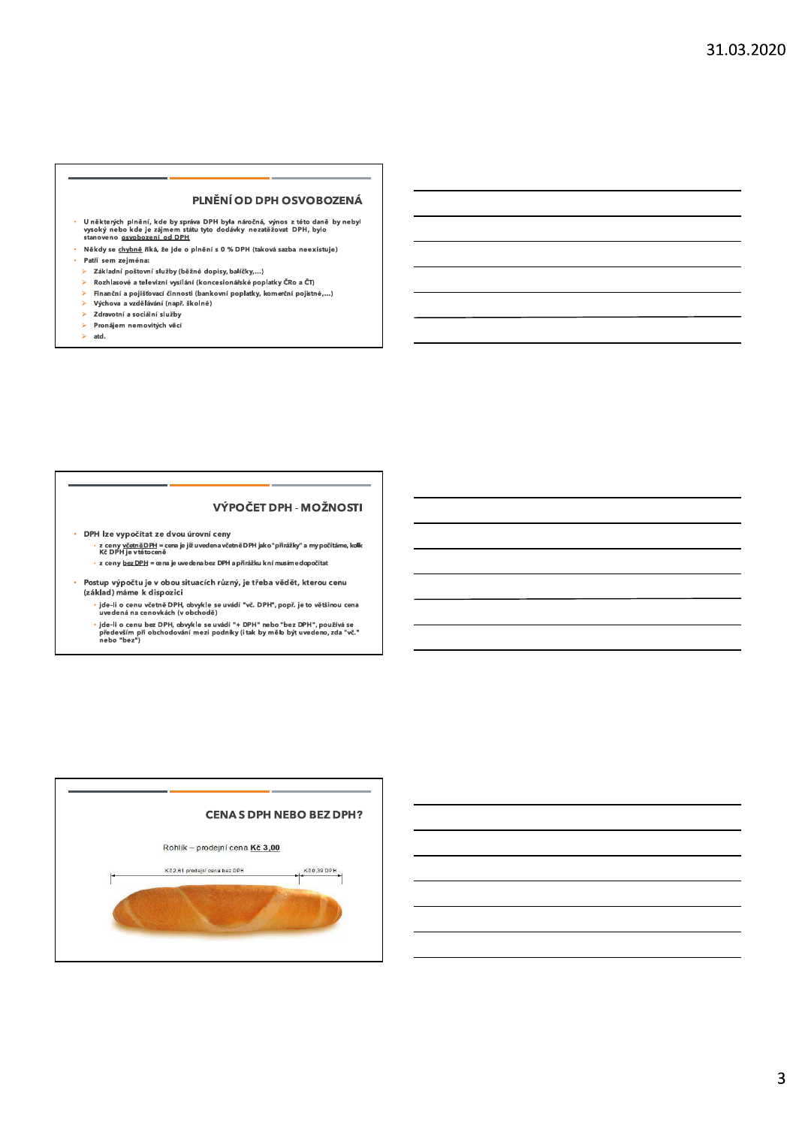#### PLNĚNÍ OD DPH OSVOBOZENÁ

- U některých plnění, kde by správa DPH byla náročná, výnos z této daně by nebyl<br>vysoký nebo kde je zájmem státu tyto dodávky nezatěžovat DPH, bylo<br>stanoveno <u>osvobození od DPH</u>
- Někdy se <u>chvbně</u> říká, že jde o plnění s 0 % DPH (taková sazba neexistuje) ä, Patří sem zejména:
- > Základní poštovní služby (běžné dopisy, balíčky,...)
- Rozhlasové a televizní vysílání (koncesionářské poplatky ČRo a ČT)  $\blacktriangleright$
- Finanční a pojišťovací činnosti (bankovní poplatky, komerční pojistné,...)  $\blacktriangleright$ Š.
- Výchova a vzdělávání (např. školné) s.
- Zdravotní a sociální služby  $\bar{\mathbf{v}}$ Pronájem nemovitých věcí
- Ÿ. atd.
- 

#### VÝPOČET DPH - MOŽNOSTI

· DPH lze vypočítat ze dvou úrovní ceny

z ceny v<u>četně DPH</u> = contra mixeru, zeury<br>Kč DPH je vtětoceně<br>Kč DPH je vtětoceně · z ceny <u>bez DPH</u> = œna je uvedena bez DPH a přirážku knímusím edopočítat

- Postup výpočtu je v obou situacích různý, je třeba vědět, kterou cenu
- (základ) máme k dispozici <sup>,</sup> jde-li o cenu včetně DPH, obvykle se uvádí "vč. DPH", popř. je to většinou cena<br>uvedená na cenovkách (v obchodě)
	- " ide-li o cenu bez DPH, obvykle se uvádí "+ DPH" nebo "bez DPH", používá se<br>především při obchodování mezi podniky (i tak by mělo být uvedeno, zda "vč."<br>nebo "bez")

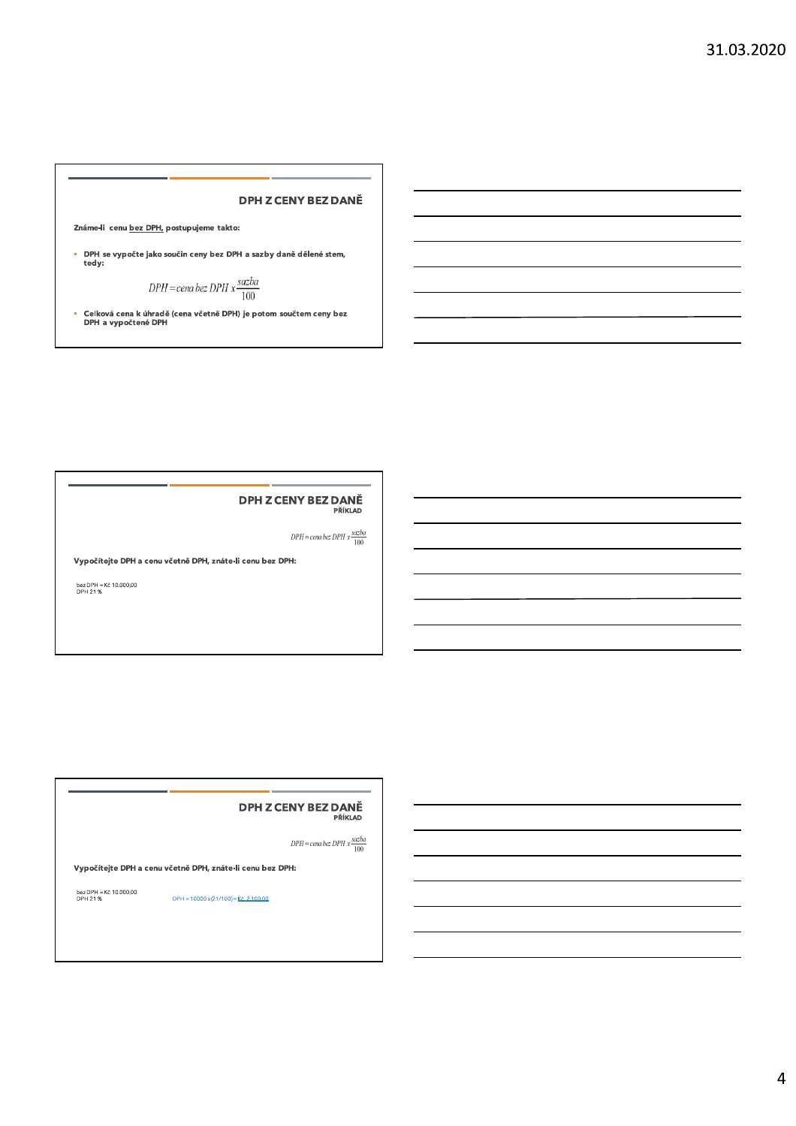### DPH Z CENY BEZ I

2náme-li cenu <u>bez DPH,</u> postupujeme takto:<br>• DPH se vypočte jako součin ceny bez DPH a sazby daně dělené stem,<br>• tedy:

$$
DPH = \text{cena bez } DPH \ x \frac{\text{sazba}}{100}
$$

- Celkova cena k unrade (cena vcetne DPH) je potom souctem ceny bez<br>DPH a vypočtené DPH

## DPH Z CENY BEZ DANE

 $DPH = \text{cena bez } DPH \; x \frac{\text{sazba}}{100}$ 

Vypočítejte DPH a cenu včetně DPH, znáte-li cenu bez DPH:

Dez DPH = KC 10.000,00<br>DPH 21 %

### DPH Z CENY BEZ I

PŘÍKLAD

 $DPH = \hspace{1pt}$  cena bez $DPH \geq \hspace{1pt} \frac{sazba}{100}$ 

Vypočítejte DPH a cenu včetně DPH, znáte-li cenu bez DPH:

bez DPH = Kč 10.000,00<br>DPH 21%  $DPH = 10000 \times (21/100) = \frac{K\bar{c}}{2} \cdot \frac{2100.00}{2}$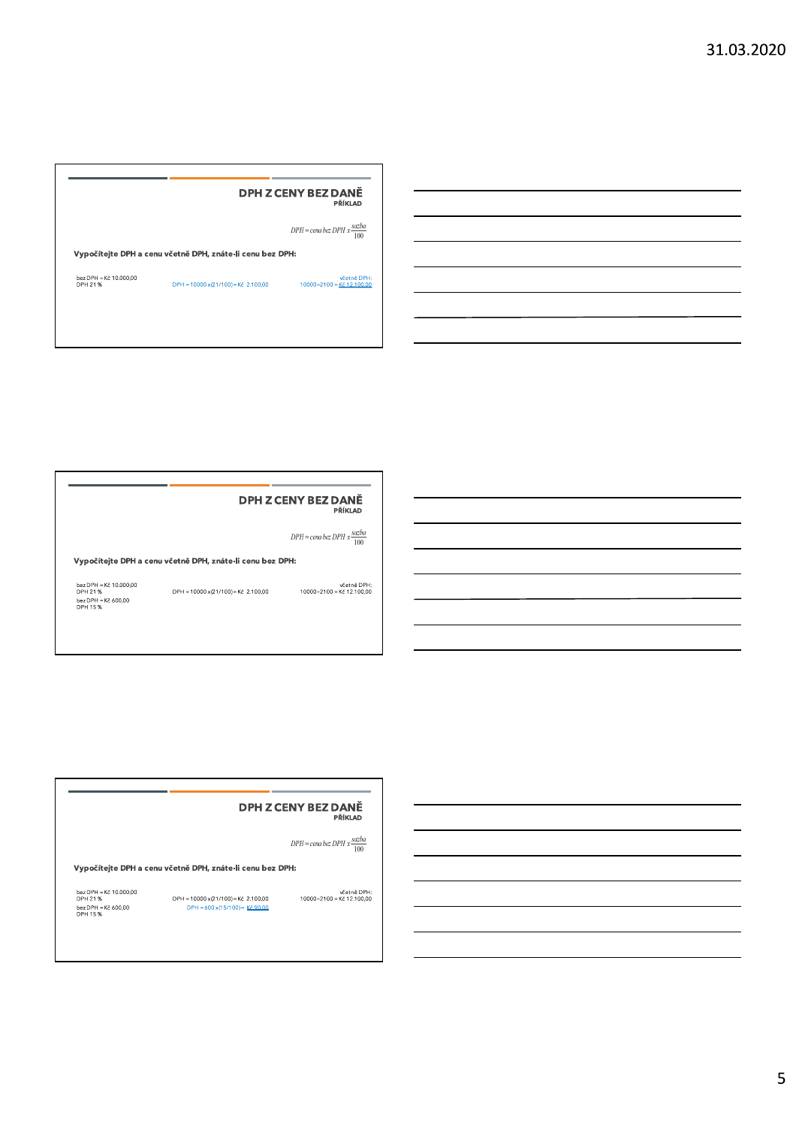|                                   |                                                           | DPH Z CENY BEZ DANĚ<br>PŘÍKLAD                  |
|-----------------------------------|-----------------------------------------------------------|-------------------------------------------------|
|                                   |                                                           | $DPH = cena$ bez $DPH x \frac{sazba}{m}$<br>100 |
|                                   |                                                           |                                                 |
|                                   | Vypočítejte DPH a cenu včetně DPH, znáte-li cenu bez DPH: |                                                 |
| bez DPH = Kč 10.000,00<br>DPH 21% | DPH = 10000 x(21/100) = Kč 2.100,00                       | včetně DPH:<br>10000+2100 - Kč 12.100.00        |

### DPH Z CENY BEZ DANĚ

**SOFT AND DPH Z CENY BEZ DANĚ**<br>
PŘÍKLAD<br>
Vypočítejte DPH a cenu včetně DPH, znáte-li cenu bez DPH:<br>  $\frac{1000P}{121} = \frac{10000 \times 21}{10000}$ <br>
DPH = 10000 × 21/100)=Kč 2.100,00<br>  $\frac{10000+2100}{10000+2100} = \frac{10000 \times 21}{10000}$ 

#### DPH Z CENY BEZ DANĚ

**DPH Z CENY BEZ DANE**<br>
PRIKLAD<br>
DPH = cena bez DPH x<br>
DPH = cena bez DPH :<br>  $\frac{6220\text{PH} - \text{K}2 + 10.0000}{\text{V}^2}$ <br>
DPH = 10000 x(21/100) = K2 2100,00<br>
DPH = 600 x(15/100) = <u>K2 90.00</u><br>
DPH = 600 x(15/100) = <u>K2 90.00</u><br>

5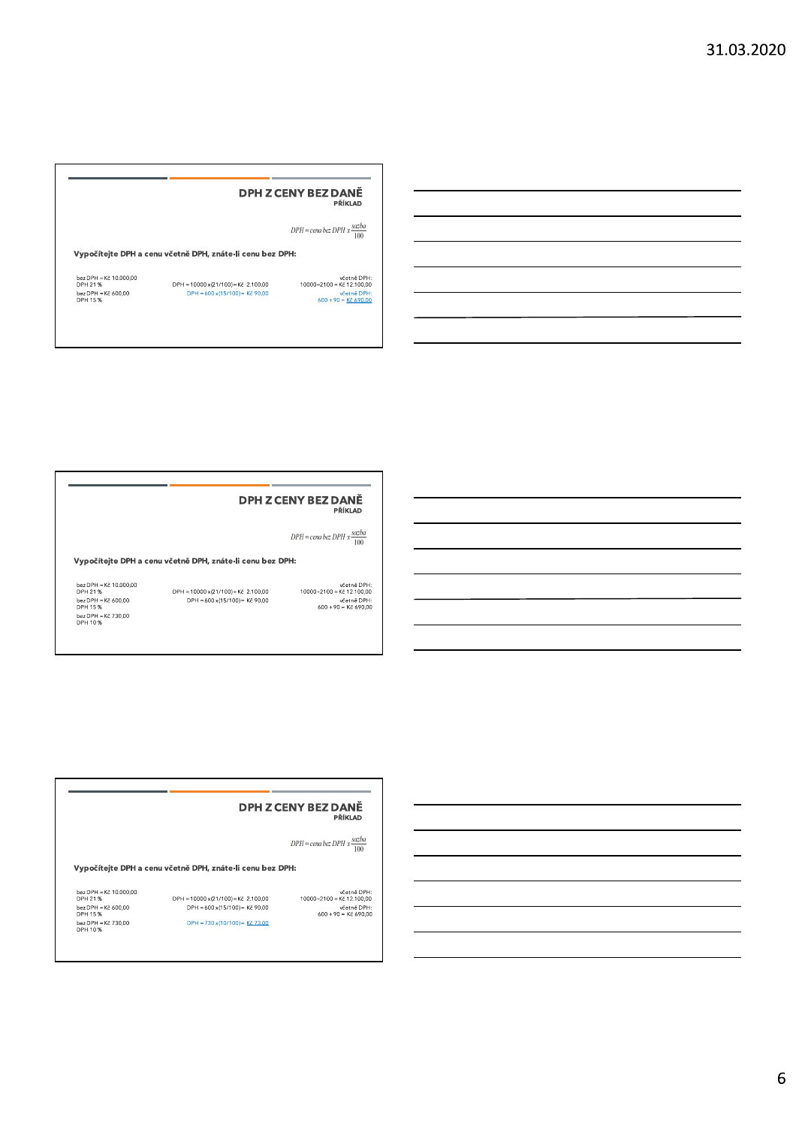## DPH Z CENY BEZ DANE **SEZ DANĚ**<br>
Příklad<br>
PPH = cena bez DPH x  $\frac{scale}{100}$ <br>
PPH = cena bez DPH x  $\frac{scale}{100}$ <br>
DPH = cena bez DPH x  $\frac{scale}{100}$ <br>
Dex DPH = Kč 10.000.00<br>
DPH = 10000 x(21/100) = Kč 2.100.00<br>
DPH = 600 x(15/100) = Kč 90.00<br>
DPH =

### DPH Z CENY BEZ DANE

**DPH Z CENY BEZ DANĚ**<br>
PŘÍKLAD<br>
Vypočítejte DPH a cenu včetně DPH, znáte-li cenu bez DPH:<br>
bezDPH = Kč 10.000.00<br>
DPH = 10000 x(21/100)= Kč 2.100,00<br>
DPH = 600 x(15/100)= Kč 2.100,00<br>
DPH = 600 x(15/100)= Kč 90,00<br>
DPH =

## DPH Z CENY BEZ I

**DPH Z CENY BEZ DANĚ**<br>
PŘÍKLAD<br>
DPH = cena bez DPH x  $\frac{scaleD000}{100}$ <br>
Vypočítejte DPH a cenu včetně DPH, znáte-li cenu bez DPH:<br>
bez DPH = Kč 400,000<br>
DPH = 10000 x(21/100) = Kč 2.100,00<br>
DPH = 400 x(15/100) = Kč 2.100,00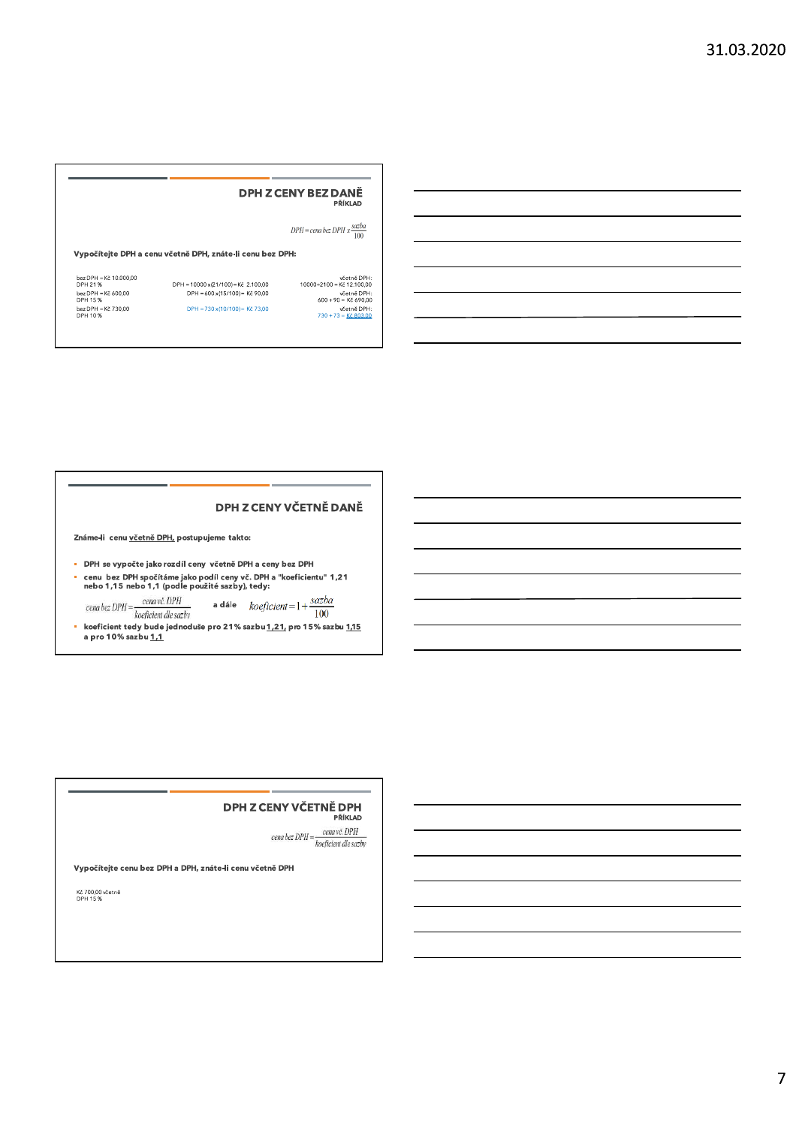## **DPH Z CENY BEZ DANĚ**

 $DPH = \hspace{1pt}$  cena bez $DPH$  x  $\frac{sazba}{100}$ 

wčetně DPH:<br>10000+2100 – Kč 12.100,00<br>větně DPH:<br>600 + 90 = Kč 690,00<br>wčetně DPH:<br>730 + 73 = <u>Kč 803.00</u>

#### Vypočítejte DPH a cenu včetně DPH, znáte-li cenu bez DPH:

DPH = 10000 x (21/100) = Kč 2.100,00<br>DPH = 600 x (15/100) = Kč 90,00 DPH = 730 x(10/100) = Kč 73,00

bez DPH = Kč 10.000,00<br>DPH 21 %<br>bez DPH = Kč 600,00<br>DPH 15 %<br>bez DPH = Kč 730,00<br>DPH 10 %

DPH Z CENY VČETNĚ DANĚ

Známe-li cenu včetně DPH, postupujeme takto:

- · DPH se vypočte jako rozdíl ceny včetně DPH a ceny bez DPH
- cenu bez DPH spočítáme jako podíl ceny vč. DPH a "koeficientu" 1,21<br>nebo 1,15 nebo 1,1 (podle použité sazby), tedy:

 $\label{eq:1} \begin{aligned} \textit{cena bez DPH} = \frac{\textit{cena vč. DPH}}{\textit{koeficient}} \end{aligned}$ a dále  $koeficient = 1 + \frac{sazba}{100}$ 

koeficient tedy bude jednoduše pro 21% sazbu <u>1,21,</u> pro 15% sazbu <u>1,15</u><br>a pro 10% sazbu <u>1,1</u> à.

#### DPH Z CENY VČETNĚ DPH

PŘÍKLAD

cena bez DPH =  $\frac{cena v\check{c}.\,DPH}{koeficient\,de\,sazby}$ 

Vypočítejte cenu bez DPH a DPH, znáte-li cenu včetně DPH

Kč 700,00 včetně<br>DPH 15 %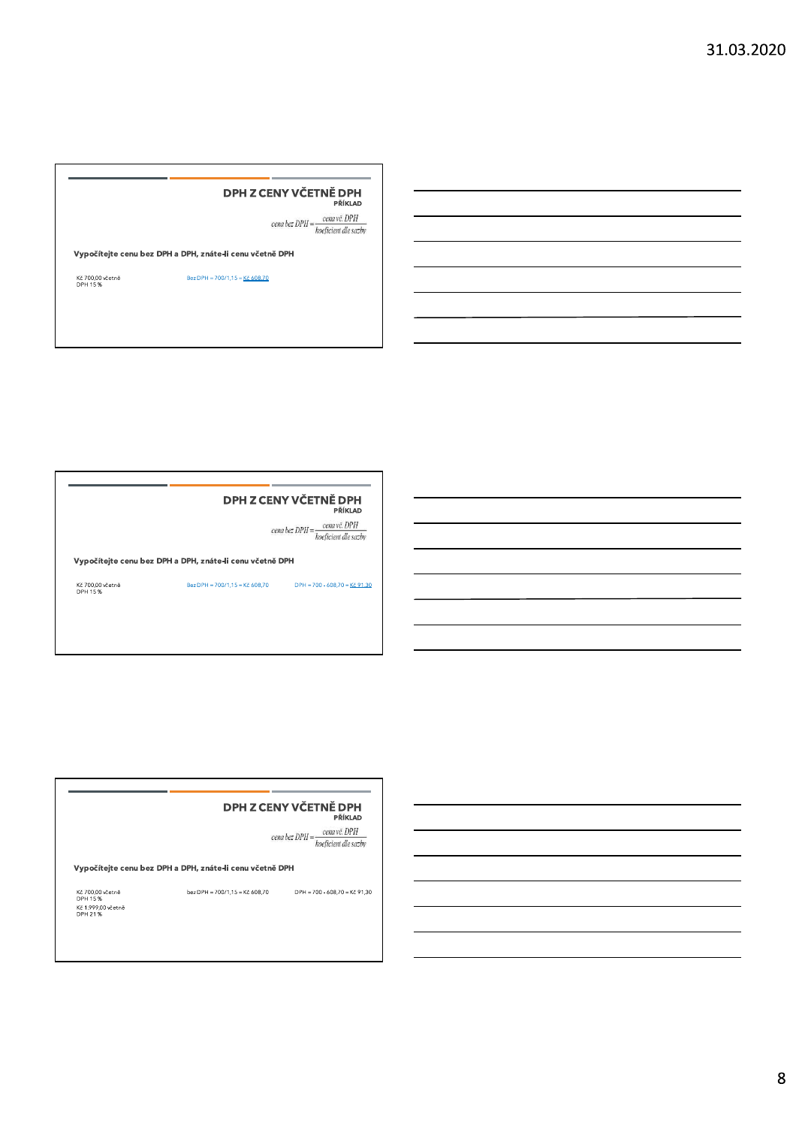# DPH Z CENY VČETNĚ DPH **DPH Z CENY VČETNĚ DPH**<br> *Cenabes DPH* =  $\frac{1}{k}$  *cenavě. DPH*<br> *Vypočítejte cenu bez DPH* a DPH, znáte-li cenu včetně DPH<br>
Kč 700,00 včetně<br>
DPH 15%<br>
Bez DPH = 700/1,15 = <u>Kč 608.70</u><br>
DPH 15%

### DPH Z CENY VČETNĚ DPH

**SERV VČETNĚ DPH**<br>
PŘÍKLAD<br> *Eena bez* DPH a DPH, znáte-li cenu včetně DPH<br>
Ke 700,00 včetně<br>
Bez DPH = 700/1,15 = Kč 608,70<br>
DPH = 700 - 608,70 = <u>Kč 91,30</u><br>
DPH 15%

#### DPH Z CENY VČETNĚ DPH

**SETNĚ DPH**<br>
PŘÍKLAD<br>
PŘÍKLAD<br>
PŘÍKLAD<br>
PŘÍKLAD<br>
Vypočítejte cenu bez DPH a DPH, znáte-li cenu včetně DPH<br>
Kč 700,00 včetně<br>
DER 2199:00 včetně<br>
DER PH = 700/1,15 = Kč 608,70<br>
DER = 700-608,70 = Kč 91,30<br>
DER = 700-608,70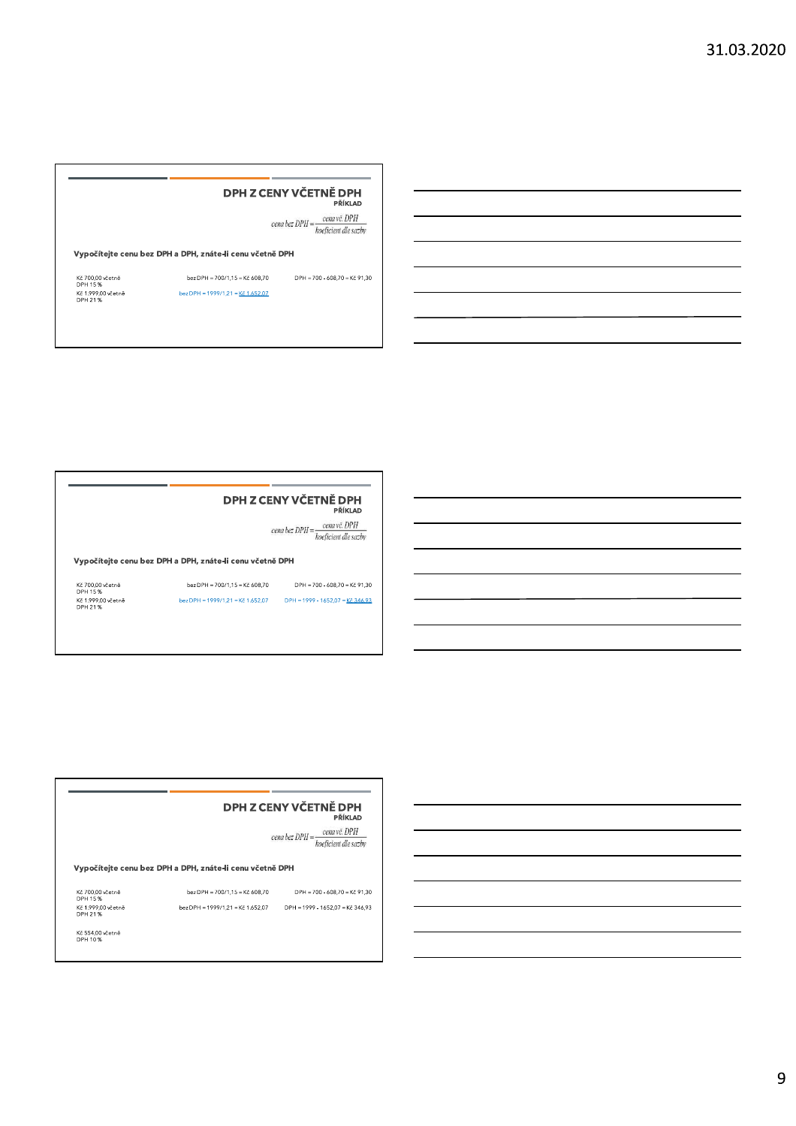## DPH Z CENY VČETNĚ DPH **SETNE DPH**<br>
PRIKLAD<br>
CERNY VČETNE PRIKLAD<br>
CERNY CETNE PRIKLAD<br>
CERNY CETNE PRIES<br>
Vypočítejte cenu bez DPH a DPH, znáte-li cenu včetně DPH<br>
Kč 700,00 včetně<br>
DPH = 700/1,15 = Kč 608,70 DPH = 700 - 608,70 = Kč 91,30<br>
DPH

|                               |                                                          | DPH Z CENY VČETNĚ DPH<br>PŘÍKLAD                                     |
|-------------------------------|----------------------------------------------------------|----------------------------------------------------------------------|
|                               |                                                          | cena bez DPH = $\frac{cena v\check{c}$ . DPH<br>koeficient dle sazby |
|                               | Vypočítejte cenu bez DPH a DPH, znáte-li cenu včetně DPH |                                                                      |
| Kč 700.00 včetně<br>DPH 15%   | bez DPH = $700/1.15$ = Kč 608.70                         | $DPH = 700 - 608.70 = K\text{č } 91.30$                              |
| Kč 1.999.00 včetně<br>DPH 21% | bez DPH = $1999/1.21$ = Kč 1.652.07                      | DPH = 1999 - 1652.07 = Kč 346.93                                     |
|                               |                                                          |                                                                      |

#### DPH Z CENY VČETNĚ DPH

**DPH Z CENY VČETNĚ DPH**<br>
PŘÍKLAD<br>
cena bez DPH =  $\frac{convC. DPH}{koefficient \text{ (le } satisfies t]}$ <br>
Vypočítejte cenu bez DPH a DPH, znáte-li cenu včetně DPH<br>
Kč 700,00 včetně<br>
DPH 15%<br>
bez DPH = 700/1,15 = Kč 608,70<br>
DPH = 700 - 608,70 = Kč 91,3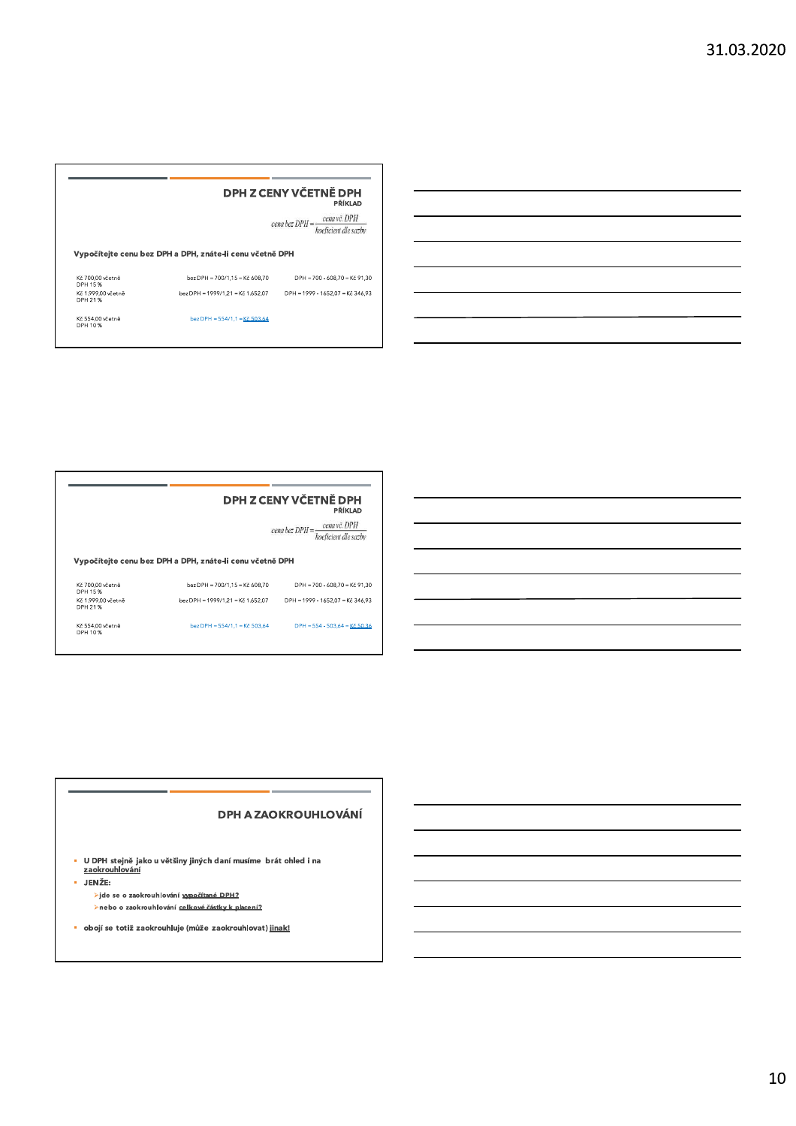|                               |                                                          | DPH Z CENY VČETNĚ DPH<br>PŘÍKLAD                                     |
|-------------------------------|----------------------------------------------------------|----------------------------------------------------------------------|
|                               |                                                          | cena bez DPH = $\frac{cena v\check{c}$ . DPH<br>koeficient dle sazby |
|                               |                                                          |                                                                      |
|                               | Vypočítejte cenu bez DPH a DPH, znáte-li cenu včetně DPH |                                                                      |
| Kč 700,00 včetně<br>DPH 15%   | bez DPH = 700/1,15 = Kč 608,70                           |                                                                      |
| Kč 1.999.00 včetně<br>DPH 21% | bez DPH = 1999/1.21 = Kč 1.652.07                        | DPH = 700 - 608,70 = Kč 91,30<br>DPH = 1999 - 1652.07 = Kč 346.93    |



cena bez  $DPH = \frac{cena\,v\breve{c}.\,DPH}{koeficient\,dle\,sazby}$ 

#### Vypočítejte cenu bez DPH a DPH, znáte-li cenu včetně DPH

| Kč 700.00 včetně<br>DPH 15 %  | bez DPH = 700/1.15 = Kč 608.70    | $DPH = 700 - 608.70 = Kč 91.30$  |
|-------------------------------|-----------------------------------|----------------------------------|
| Kč 1.999.00 včetně<br>DPH 21% | bez DPH = 1999/1.21 = Kč 1.652.07 | DPH = 1999 - 1652.07 = Kč 346.93 |
| Kč 554.00 včetně<br>DPH 10%   | bez DPH = $554/1.1$ = Kč 503.64   | $DPH = 554 - 503.64 = K\{-50.36$ |

#### **DPH A ZAOKROUHLOVÁNÍ**

• U DPH stejně jako u většiny jiných daní musíme brát ohled i na<br>zaokrouhlování

· JENŽE:

>jde se o zaokrouhlování vypočítané DPH? >nebo o zaokrouhlování celkové částky k placení?

· obojí se totiž zaokrouhluje (může zaokrouhlovat) jinak!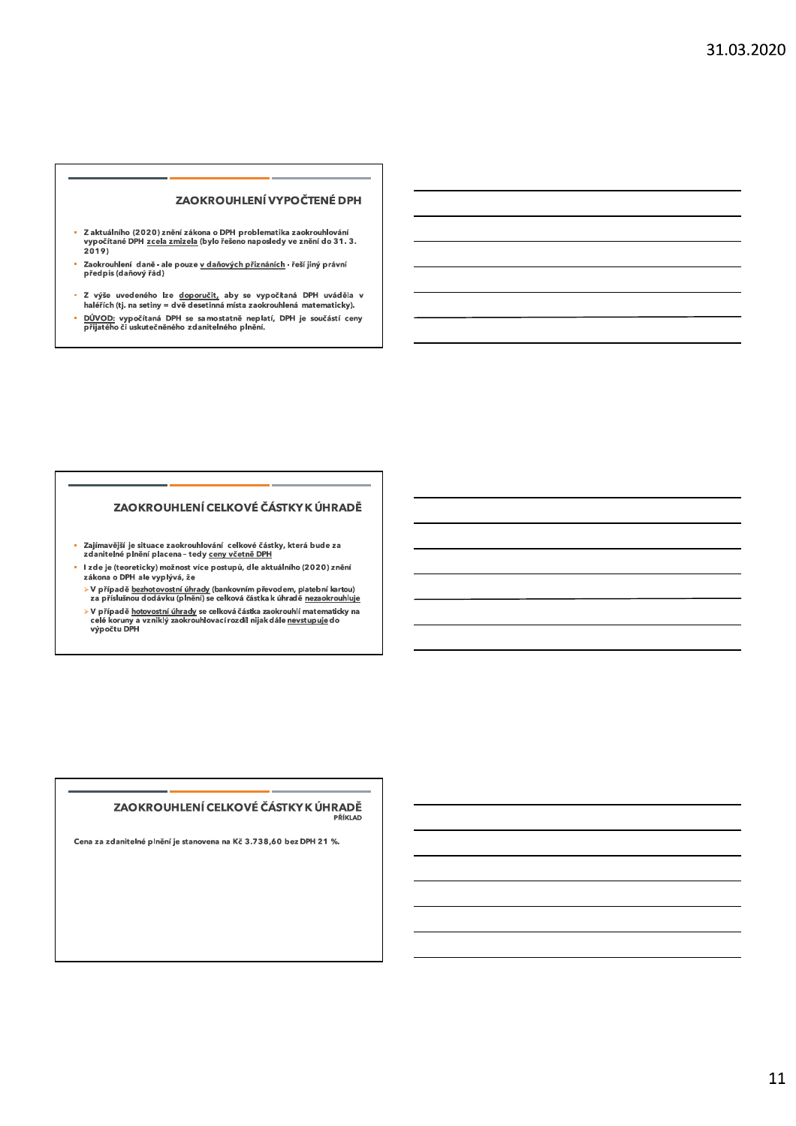#### ZAOKROUHLENÍ VYPOČTENÉ DPH

- Z aktuálního (2020) znění zákona o DPH problematika zaokrouhlování<br>- vypočítané DPH <u>zcela zmizela</u> (bylo řešeno naposledy ve znění do 31. 3.  $2019$
- Zaokrouhlení daně ale pouze <u>v daňových přiznáních</u> řeší jiný právní<br>předpis (daňový řád)
- Z výše uvedeného lze <u>doporučit,</u> aby se vypočítaná DPH uváděla v<br>haléřích(tj. na setiny = dvě desetinná místa zaokrouhlená matematicky).
- DŮVOD: vypočítaná DPH se samostatně neplatí, DPH je součástí ceny<br>přijatého či uskutečněného zdanitelného plnění.

### ZAOKROUHLENÍ CELKOVÉ ČÁSTKY K ÚHRADĚ

- Zajímavější je situace zaokrouhlování celkové částky, která bude za<br>zdanitelné plnění placena tedy <u>ceny včetně DPH</u>  $\mathbf{r}$
- I zde je (teoreticky) možnost více postupů, dle aktuálního (2020) znění zákona o DPH ale vyplývá, že
- > V případě <u>bezhotovostní úhrady</u> (bankovním převodem, platební kartou)<br>za příslušnou dodávku (plnění) se celková částka k úhradě <u>nezaokrouhluje</u>
- > V případě <u>hotovostní úhrady</u> se celková částka zaokrouhlí matematicky na<br>celé koruny a vzniklý zaokrouhlovací rozdíl nijak dále <u>nevstupuje</u> do<br>výpočtu DPH

#### ZAOKROUHLENÍ CELKOVÉ ČÁSTKY K ÚHRADĚ PŘÍKLAD

Cena za zdanitelné plnění je stanovena na Kč 3.738,60 bez DPH 21 %.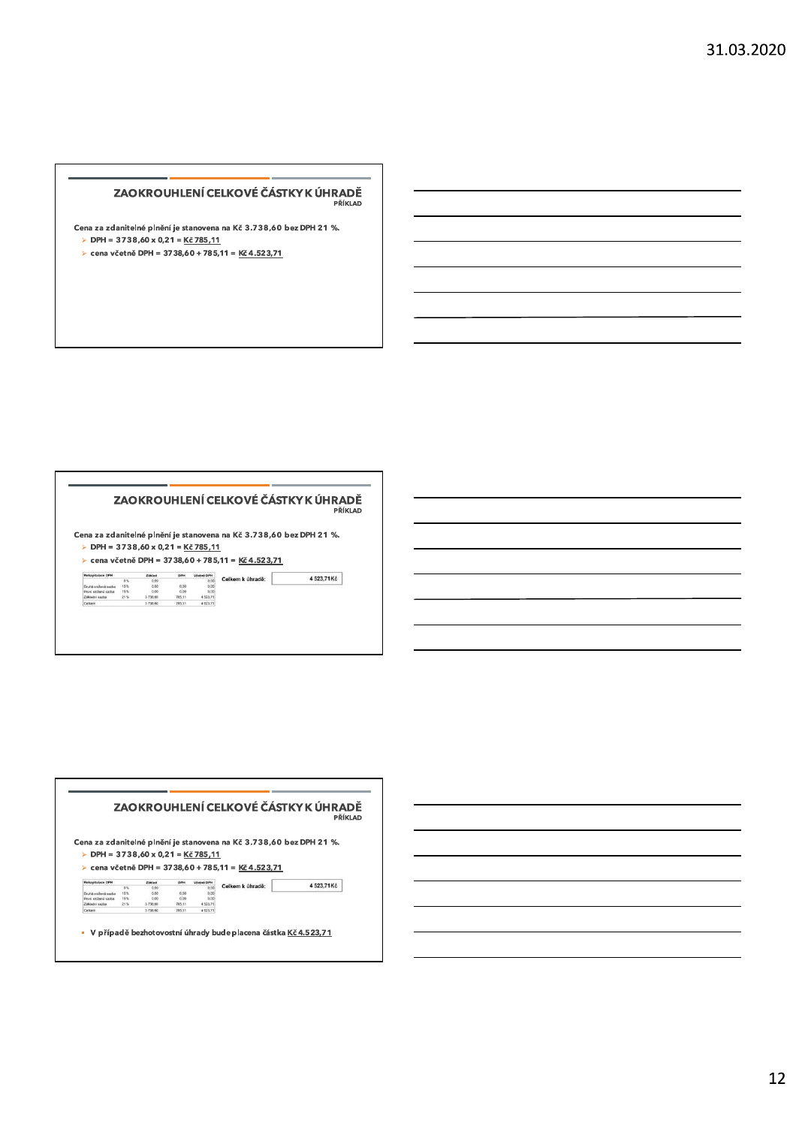## ZAOKROUHLENÍ CELKOVÉ ČÁSTKY K ÚHRADĚ **2AOKROUHLENÍ CELKOVÉ ČÁSTKY K ÚHRADĚ<br>
Cena za zdanitelné plnění je stanovena na Kč 3.738,60 bez DPH 21 %.<br>
> DPH = 3738,60 x 0,21 = <u>Kč 785,11</u><br>
> cena včetně DPH = 3738,60 + 785,11 = <u>Kč 4.523,71</u>**

- 
- 

#### ZAOKROUHLENÍ CELKOVÉ ČÁSTKY K ÚHRADĚ

|                                                   |       |         |        |                   |                                                                   | ZAOKROUHLENÍ CELKOVÉ ČÁSTKY K ÚHRADĚ<br>PŘÍKLAD                     |
|---------------------------------------------------|-------|---------|--------|-------------------|-------------------------------------------------------------------|---------------------------------------------------------------------|
|                                                   |       |         |        |                   |                                                                   |                                                                     |
|                                                   |       |         |        |                   |                                                                   |                                                                     |
|                                                   |       |         |        |                   |                                                                   | Cena za zdanitelné plnění je stanovena na Kč 3.738,60 bez DPH 21 %. |
| $\triangleright$ DPH = 3738,60 x 0,21 = Kč 785,11 |       |         |        |                   |                                                                   |                                                                     |
|                                                   |       |         |        |                   |                                                                   |                                                                     |
|                                                   |       |         |        |                   | $\triangleright$ cena včetně DPH = 3738,60 + 785,11 = Kč 4.523,71 |                                                                     |
| <b>Rekapitulace OPH</b>                           |       | Základ  | DPH    | <b>Včetná DPH</b> |                                                                   |                                                                     |
|                                                   | $n =$ | 0.00    |        | 0.00              | Celkem k úhradě:                                                  | 4523,71Kč                                                           |
| <b>The chair weal baseds was then</b>             | 10.7% | 0.00    | 0.00   | 0.00              |                                                                   |                                                                     |
| První snížená sazba                               | 16%   | 0.00    | 0.00   | 0.00              |                                                                   |                                                                     |
| Základní sazba                                    | 21%   | 3738.60 | 785.11 | 4 523.71          |                                                                   |                                                                     |

# ZAOKROUHLENÍ CELKOVÉ ČÁSTKY K ÚHRADĚ **EXAMPLE RI CELKOVÉ ČÁSTKY K ÚHRADĚ<br>
PŘÍKLAD<br>
Cena za zdanitelné plnění je stanovena na Kč 3.738,60 bez DPH 21 %.<br>
> DPH = 3738,60 × 0,21 = <u>Kč 785,11</u><br>
> cena včetně DPH = 3738,60 + 785,11 = <u>Kč 4.523,71</u><br>
Analyzia (P)<br>** <sup>N</sup> 'O)' "(6!P,\$,-,+\$)QPR "S6T"'% J .U+\$V .M0I7/318

| 10% | 0.00    | 0.00   | 0.00     |  |
|-----|---------|--------|----------|--|
| 16% | 0.06    | 0.00   | D.OD     |  |
| 当地  | 3736.60 |        | 4 523 71 |  |
|     | 3738.60 | 785.11 | 4 523 71 |  |
|     |         |        |          |  |
|     |         |        |          |  |
|     |         |        |          |  |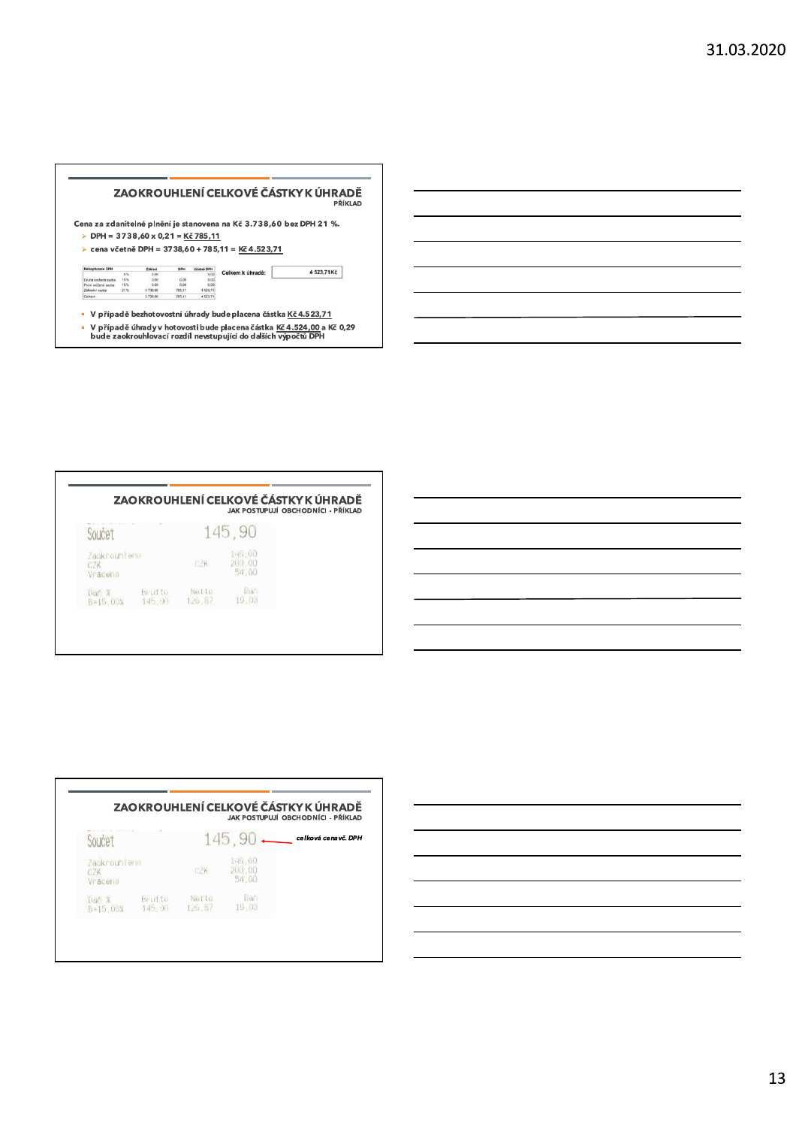

|                                |                  |                 |                           | ZAOKROUHLENÍ CELKOVÉ ČÁSTKY K ÚHRADĚ<br>JAK POSTUPLJÍ OBCHODNÍCI - PŘÍKLAD |
|--------------------------------|------------------|-----------------|---------------------------|----------------------------------------------------------------------------|
| Součet                         |                  |                 | 145,90                    |                                                                            |
| Zaokrouhleno<br>CZK<br>Vraceno |                  | CZK.            | 146.00<br>200.00<br>54.00 |                                                                            |
| Dan %<br>B=15.00%              | Brutto<br>145,90 | Netto<br>126.87 | Dan<br>19.03              |                                                                            |



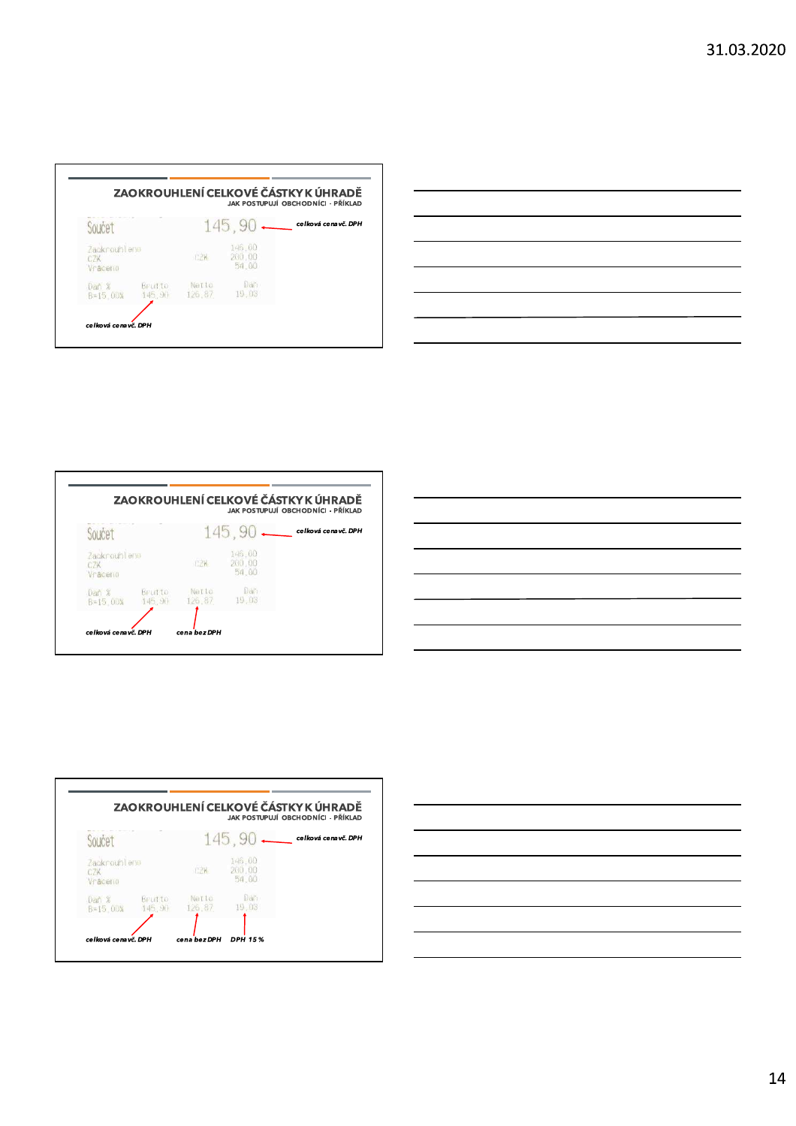